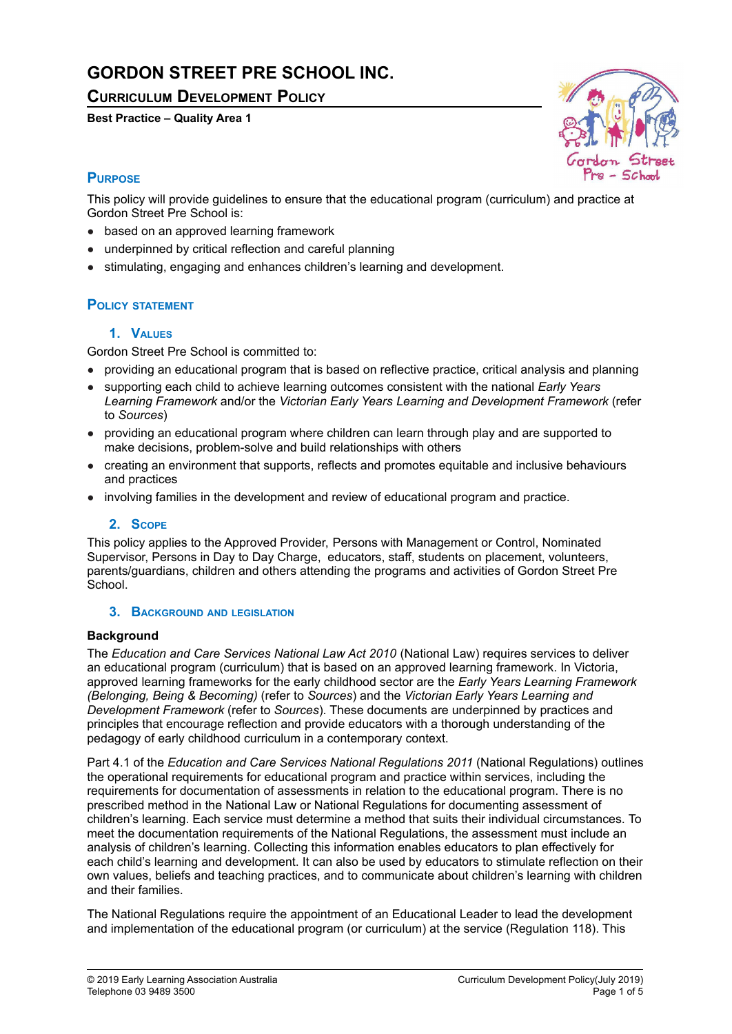# **GORDON STREET PRE SCHOOL INC.**

**CURRICULUM DEVELOPMENT POLICY**

## **Best Practice – Quality Area 1**



# **PURPOSE**

This policy will provide guidelines to ensure that the educational program (curriculum) and practice at Gordon Street Pre School is:

- based on an approved learning framework
- underpinned by critical reflection and careful planning
- stimulating, engaging and enhances children's learning and development.

## **POLICY STATEMENT**

## **1. VALUES**

Gordon Street Pre School is committed to:

- providing an educational program that is based on reflective practice, critical analysis and planning
- supporting each child to achieve learning outcomes consistent with the national *Early Years Learning Framework* and/or the *Victorian Early Years Learning and Development Framework* (refer to *Sources*)
- providing an educational program where children can learn through play and are supported to make decisions, problem-solve and build relationships with others
- creating an environment that supports, reflects and promotes equitable and inclusive behaviours and practices
- involving families in the development and review of educational program and practice.

## **2. SCOPE**

This policy applies to the Approved Provider, Persons with Management or Control, Nominated Supervisor, Persons in Day to Day Charge, educators, staff, students on placement, volunteers, parents/guardians, children and others attending the programs and activities of Gordon Street Pre School.

#### **3. BACKGROUND AND LEGISLATION**

#### **Background**

The *Education and Care Services National Law Act 2010* (National Law) requires services to deliver an educational program (curriculum) that is based on an approved learning framework. In Victoria, approved learning frameworks for the early childhood sector are the *Early Years Learning Framework (Belonging, Being & Becoming)* (refer to *Sources*) and the *Victorian Early Years Learning and Development Framework* (refer to *Sources*). These documents are underpinned by practices and principles that encourage reflection and provide educators with a thorough understanding of the pedagogy of early childhood curriculum in a contemporary context.

Part 4.1 of the *Education and Care Services National Regulations 2011* (National Regulations) outlines the operational requirements for educational program and practice within services, including the requirements for documentation of assessments in relation to the educational program. There is no prescribed method in the National Law or National Regulations for documenting assessment of children's learning. Each service must determine a method that suits their individual circumstances. To meet the documentation requirements of the National Regulations, the assessment must include an analysis of children's learning. Collecting this information enables educators to plan effectively for each child's learning and development. It can also be used by educators to stimulate reflection on their own values, beliefs and teaching practices, and to communicate about children's learning with children and their families.

The National Regulations require the appointment of an Educational Leader to lead the development and implementation of the educational program (or curriculum) at the service (Regulation 118). This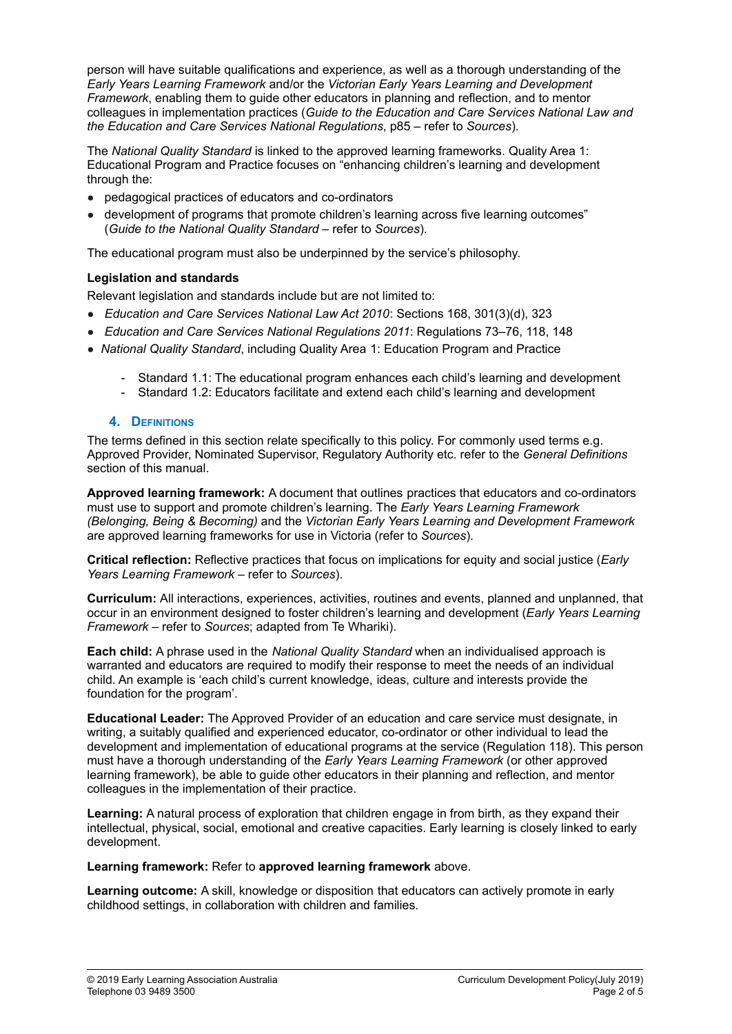person will have suitable qualifications and experience, as well as a thorough understanding of the *Early Years Learning Framework* and/or the *Victorian Early Years Learning and Development Framework*, enabling them to guide other educators in planning and reflection, and to mentor colleagues in implementation practices (*Guide to the Education and Care Services National Law and the Education and Care Services National Regulations*, p85 – refer to *Sources*).

The *National Quality Standard* is linked to the approved learning frameworks. Quality Area 1: Educational Program and Practice focuses on "enhancing children's learning and development through the:

- pedagogical practices of educators and co-ordinators
- development of programs that promote children's learning across five learning outcomes" (*Guide to the National Quality Standard* – refer to *Sources*).

The educational program must also be underpinned by the service's philosophy.

## **Legislation and standards**

Relevant legislation and standards include but are not limited to:

- *Education and Care Services National Law Act 2010*: Sections 168, 301(3)(d), 323
- *Education and Care Services National Regulations 2011*: Regulations 73–76, 118, 148
- *National Quality Standard*, including Quality Area 1: Education Program and Practice
	- Standard 1.1: The educational program enhances each child's learning and development
	- Standard 1.2: Educators facilitate and extend each child's learning and development

#### **4. DEFINITIONS**

The terms defined in this section relate specifically to this policy. For commonly used terms e.g. Approved Provider, Nominated Supervisor, Regulatory Authority etc. refer to the *General Definitions* section of this manual.

**Approved learning framework:** A document that outlines practices that educators and co-ordinators must use to support and promote children's learning. The *Early Years Learning Framework (Belonging, Being & Becoming)* and the *Victorian Early Years Learning and Development Framework* are approved learning frameworks for use in Victoria (refer to *Sources*).

**Critical reflection:** Reflective practices that focus on implications for equity and social justice (*Early Years Learning Framework* – refer to *Sources*).

**Curriculum:** All interactions, experiences, activities, routines and events, planned and unplanned, that occur in an environment designed to foster children's learning and development (*Early Years Learning Framework* – refer to *Sources*; adapted from Te Whariki).

**Each child:** A phrase used in the *National Quality Standard* when an individualised approach is warranted and educators are required to modify their response to meet the needs of an individual child. An example is 'each child's current knowledge, ideas, culture and interests provide the foundation for the program'.

**Educational Leader:** The Approved Provider of an education and care service must designate, in writing, a suitably qualified and experienced educator, co-ordinator or other individual to lead the development and implementation of educational programs at the service (Regulation 118). This person must have a thorough understanding of the *Early Years Learning Framework* (or other approved learning framework), be able to guide other educators in their planning and reflection, and mentor colleagues in the implementation of their practice.

**Learning:** A natural process of exploration that children engage in from birth, as they expand their intellectual, physical, social, emotional and creative capacities. Early learning is closely linked to early development.

#### **Learning framework:** Refer to **approved learning framework** above.

**Learning outcome:** A skill, knowledge or disposition that educators can actively promote in early childhood settings, in collaboration with children and families.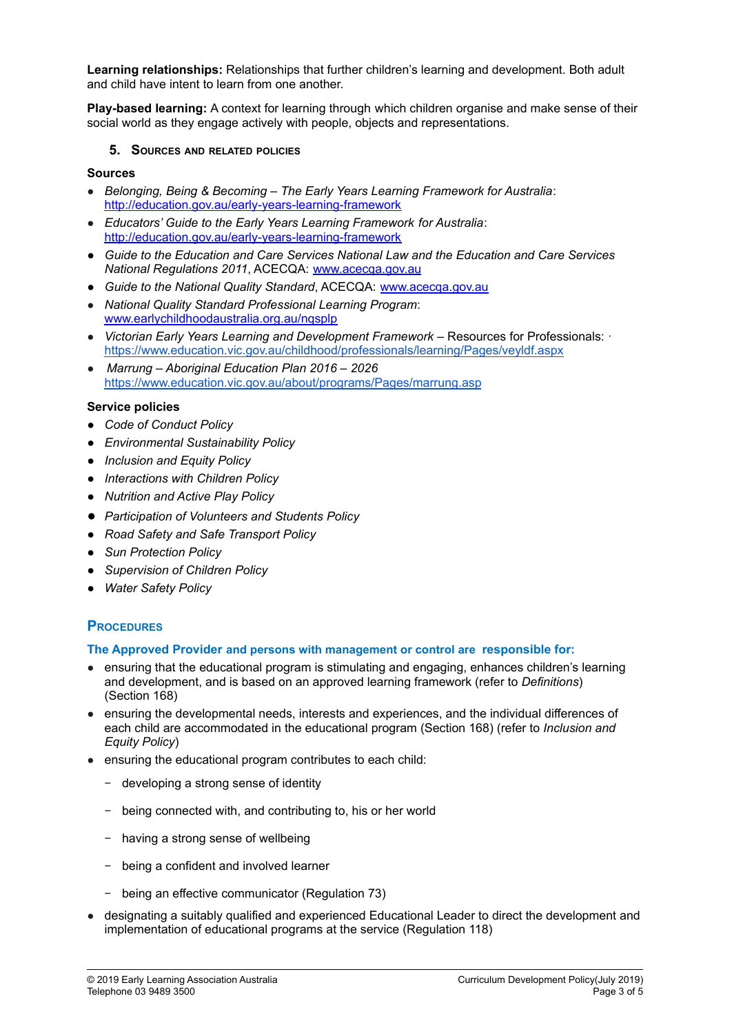**Learning relationships:** Relationships that further children's learning and development. Both adult and child have intent to learn from one another.

**Play-based learning:** A context for learning through which children organise and make sense of their social world as they engage actively with people, objects and representations.

#### **5. SOURCES AND RELATED POLICIES**

#### **Sources**

- *Belonging, Being & Becoming – The Early Years Learning Framework for Australia*: <http://education.gov.au/early-years-learning-framework>
- *Educators' Guide to the Early Years Learning Framework for Australia*: <http://education.gov.au/early-years-learning-framework>
- *Guide to the Education and Care Services National Law and the Education and Care Services National Regulations 2011*, ACECQA: [www.acecqa.gov.au](http://www.acecqa.gov.au)
- *Guide to the National Quality Standard*, ACECQA: [www.acecqa.gov.au](http://www.acecqa.gov.au/)
- *National Quality Standard Professional Learning Program*: [www.earlychildhoodaustralia.org.au/nqsplp](http://www.earlychildhoodaustralia.org.au/nqsplp)
- *Victorian Early Years Learning and Development Framework* Resources for Professionals: · <https://www.education.vic.gov.au/childhood/professionals/learning/Pages/veyldf.aspx>
- *Marrung – Aboriginal Education Plan 2016 – 2026* [https://www.education.vic.gov.au/about/programs/Pages/marrung.asp](https://www.education.vic.gov.au/about/programs/Pages/marrung.aspx)

#### **Service policies**

- *● Code of Conduct Policy*
- *● Environmental Sustainability Policy*
- *● Inclusion and Equity Policy*
- *● Interactions with Children Policy*
- *● Nutrition and Active Play Policy*
- *● Participation of Volunteers and Students Policy*
- *● Road Safety and Safe Transport Policy*
- *● Sun Protection Policy*
- *● Supervision of Children Policy*
- *● Water Safety Policy*

## **PROCEDURES**

#### **The Approved Provider and persons with management or control are responsible for:**

- ensuring that the educational program is stimulating and engaging, enhances children's learning and development, and is based on an approved learning framework (refer to *Definitions*) (Section 168)
- ensuring the developmental needs, interests and experiences, and the individual differences of each child are accommodated in the educational program (Section 168) (refer to *Inclusion and Equity Policy*)
- ensuring the educational program contributes to each child:
	- − developing a strong sense of identity
	- − being connected with, and contributing to, his or her world
	- − having a strong sense of wellbeing
	- − being a confident and involved learner
	- − being an effective communicator (Regulation 73)
- designating a suitably qualified and experienced Educational Leader to direct the development and implementation of educational programs at the service (Regulation 118)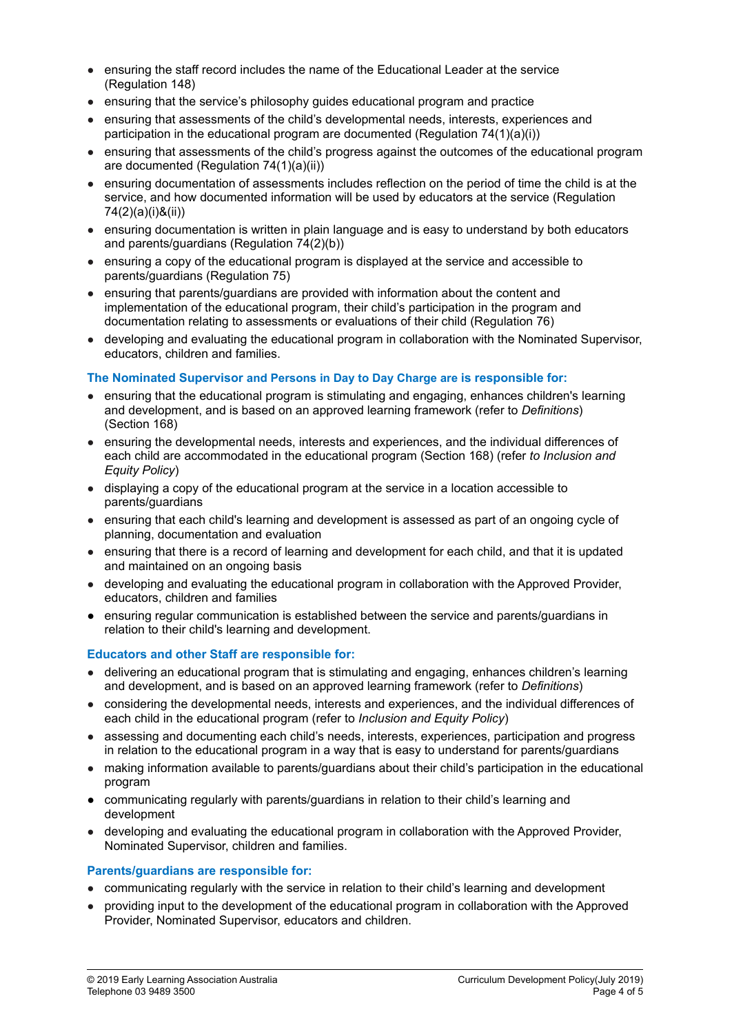- ensuring the staff record includes the name of the Educational Leader at the service (Regulation 148)
- ensuring that the service's philosophy quides educational program and practice
- ensuring that assessments of the child's developmental needs, interests, experiences and participation in the educational program are documented (Regulation 74(1)(a)(i))
- ensuring that assessments of the child's progress against the outcomes of the educational program are documented (Regulation 74(1)(a)(ii))
- ensuring documentation of assessments includes reflection on the period of time the child is at the service, and how documented information will be used by educators at the service (Regulation 74(2)(a)(i)&(ii))
- ensuring documentation is written in plain language and is easy to understand by both educators and parents/guardians (Regulation 74(2)(b))
- ensuring a copy of the educational program is displayed at the service and accessible to parents/guardians (Regulation 75)
- ensuring that parents/guardians are provided with information about the content and implementation of the educational program, their child's participation in the program and documentation relating to assessments or evaluations of their child (Regulation 76)
- developing and evaluating the educational program in collaboration with the Nominated Supervisor, educators, children and families.

#### **The Nominated Supervisor and Persons in Day to Day Charge are is responsible for:**

- ensuring that the educational program is stimulating and engaging, enhances children's learning and development, and is based on an approved learning framework (refer to *Definitions*) (Section 168)
- ensuring the developmental needs, interests and experiences, and the individual differences of each child are accommodated in the educational program (Section 168) (refer *to Inclusion and Equity Policy*)
- displaying a copy of the educational program at the service in a location accessible to parents/guardians
- ensuring that each child's learning and development is assessed as part of an ongoing cycle of planning, documentation and evaluation
- ensuring that there is a record of learning and development for each child, and that it is updated and maintained on an ongoing basis
- developing and evaluating the educational program in collaboration with the Approved Provider, educators, children and families
- *●* ensuring regular communication is established between the service and parents/guardians in relation to their child's learning and development.

#### **Educators and other Staff are responsible for:**

- delivering an educational program that is stimulating and engaging, enhances children's learning and development, and is based on an approved learning framework (refer to *Definitions*)
- considering the developmental needs, interests and experiences, and the individual differences of each child in the educational program (refer to *Inclusion and Equity Policy*)
- assessing and documenting each child's needs, interests, experiences, participation and progress in relation to the educational program in a way that is easy to understand for parents/guardians
- making information available to parents/guardians about their child's participation in the educational program
- *●* communicating regularly with parents/guardians in relation to their child's learning and development
- developing and evaluating the educational program in collaboration with the Approved Provider, Nominated Supervisor, children and families.

#### **Parents/guardians are responsible for:**

- communicating regularly with the service in relation to their child's learning and development
- providing input to the development of the educational program in collaboration with the Approved Provider, Nominated Supervisor, educators and children.